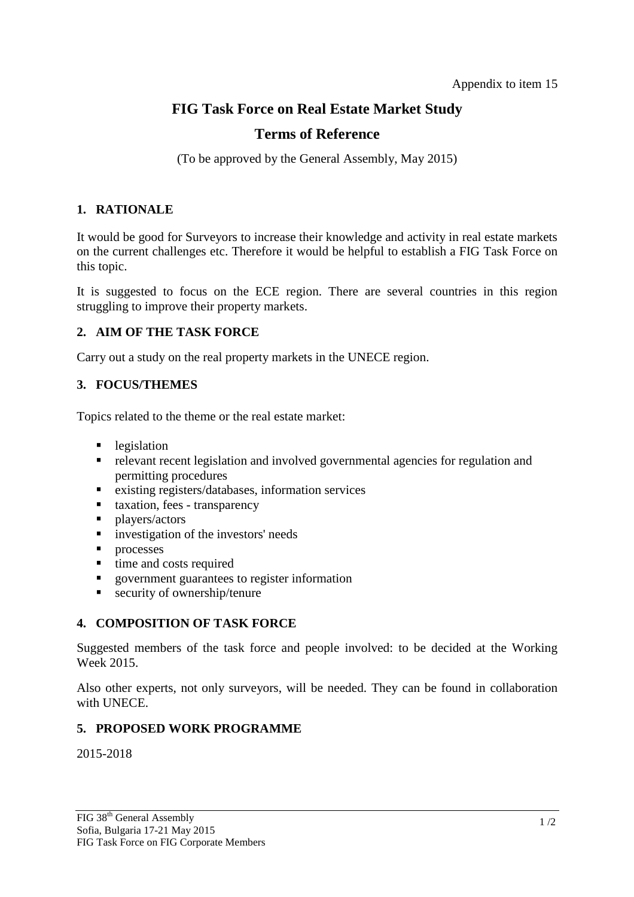# **FIG Task Force on Real Estate Market Study**

# **Terms of Reference**

(To be approved by the General Assembly, May 2015)

#### **1. RATIONALE**

It would be good for Surveyors to increase their knowledge and activity in real estate markets on the current challenges etc. Therefore it would be helpful to establish a FIG Task Force on this topic.

It is suggested to focus on the ECE region. There are several countries in this region struggling to improve their property markets.

#### **2. AIM OF THE TASK FORCE**

Carry out a study on the real property markets in the UNECE region.

#### **3. FOCUS/THEMES**

Topics related to the theme or the real estate market:

- **legislation**
- relevant recent legislation and involved governmental agencies for regulation and permitting procedures
- existing registers/databases, information services
- $\blacksquare$  taxation, fees transparency
- **players/actors**
- investigation of the investors' needs<br>■ nrocesses
- 
- processes<br>• time and of time and costs required
- government guarantees to register information
- **security of ownership/tenure**

## **4. COMPOSITION OF TASK FORCE**

Suggested members of the task force and people involved: to be decided at the Working Week 2015.

Also other experts, not only surveyors, will be needed. They can be found in collaboration with UNECE.

#### **5. PROPOSED WORK PROGRAMME**

2015-2018